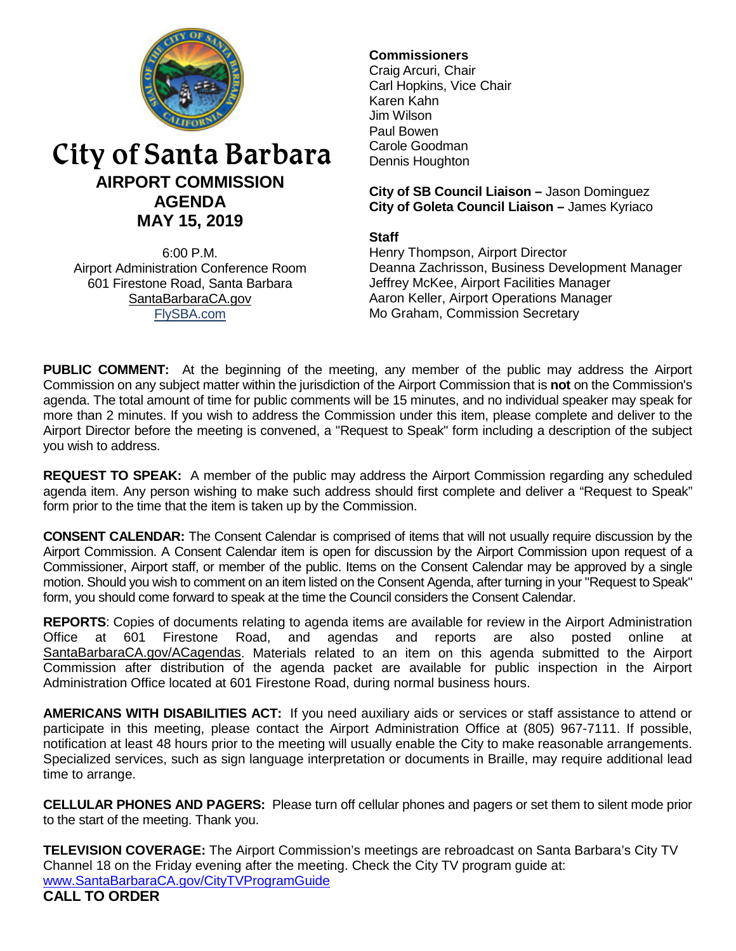

# City of Santa Barbara **AIRPORT COMMISSION AGENDA MAY 15, 2019**

6:00 P.M. Airport Administration Conference Room 601 Firestone Road, Santa Barbara [SantaBarbaraCA.gov](http://www.santabarbaraca.gov/) [FlySBA.com](http://www.santabarbaraca.gov/gov/depts/flysba/default.asp?utm_source=FlySBA&utm_medium=Redirect&utm_campaign=ReferralTracking)

# **Commissioners**

Craig Arcuri, Chair Carl Hopkins, Vice Chair Karen Kahn Jim Wilson Paul Bowen Carole Goodman Dennis Houghton

**City of SB Council Liaison –** Jason Dominguez **City of Goleta Council Liaison –** James Kyriaco

## **Staff**

Henry Thompson, Airport Director Deanna Zachrisson, Business Development Manager Jeffrey McKee, Airport Facilities Manager Aaron Keller, Airport Operations Manager Mo Graham, Commission Secretary

**PUBLIC COMMENT:** At the beginning of the meeting, any member of the public may address the Airport Commission on any subject matter within the jurisdiction of the Airport Commission that is **not** on the Commission's agenda. The total amount of time for public comments will be 15 minutes, and no individual speaker may speak for more than 2 minutes. If you wish to address the Commission under this item, please complete and deliver to the Airport Director before the meeting is convened, a "Request to Speak" form including a description of the subject you wish to address.

**REQUEST TO SPEAK:** A member of the public may address the Airport Commission regarding any scheduled agenda item. Any person wishing to make such address should first complete and deliver a "Request to Speak" form prior to the time that the item is taken up by the Commission.

**CONSENT CALENDAR:** The Consent Calendar is comprised of items that will not usually require discussion by the Airport Commission. A Consent Calendar item is open for discussion by the Airport Commission upon request of a Commissioner, Airport staff, or member of the public. Items on the Consent Calendar may be approved by a single motion. Should you wish to comment on an item listed on the Consent Agenda, after turning in your "Request to Speak" form, you should come forward to speak at the time the Council considers the Consent Calendar.

**REPORTS**: Copies of documents relating to agenda items are available for review in the Airport Administration Office at 601 Firestone Road, and agendas and reports are also posted online at [SantaBarbaraCA.gov/ACagendas.](http://www.santabarbaraca.gov/gov/brdcomm/ac/airport/agendas.asp) Materials related to an item on this agenda submitted to the Airport Commission after distribution of the agenda packet are available for public inspection in the Airport Administration Office located at 601 Firestone Road, during normal business hours.

**AMERICANS WITH DISABILITIES ACT:** If you need auxiliary aids or services or staff assistance to attend or participate in this meeting, please contact the Airport Administration Office at (805) 967-7111. If possible, notification at least 48 hours prior to the meeting will usually enable the City to make reasonable arrangements. Specialized services, such as sign language interpretation or documents in Braille, may require additional lead time to arrange.

**CELLULAR PHONES AND PAGERS:** Please turn off cellular phones and pagers or set them to silent mode prior to the start of the meeting. Thank you.

**TELEVISION COVERAGE:** The Airport Commission's meetings are rebroadcast on Santa Barbara's City TV Channel 18 on the Friday evening after the meeting. Check the City TV program guide at: [www.SantaBarbaraCA.gov/CityTVProgramGuide](http://www.santabarbaraca.gov/CityTVProgramGuide) **CALL TO ORDER**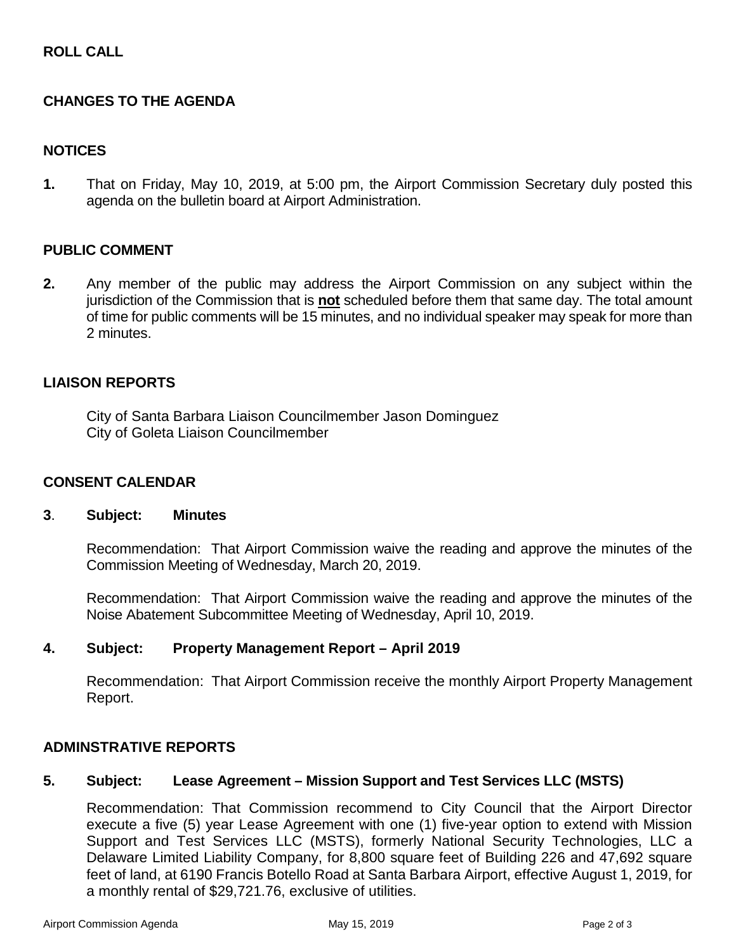# **ROLL CALL**

# **CHANGES TO THE AGENDA**

# **NOTICES**

**1.** That on Friday, May 10, 2019, at 5:00 pm, the Airport Commission Secretary duly posted this agenda on the bulletin board at Airport Administration.

#### **PUBLIC COMMENT**

**2.** Any member of the public may address the Airport Commission on any subject within the jurisdiction of the Commission that is **not** scheduled before them that same day. The total amount of time for public comments will be 15 minutes, and no individual speaker may speak for more than 2 minutes.

#### **LIAISON REPORTS**

City of Santa Barbara Liaison Councilmember Jason Dominguez City of Goleta Liaison Councilmember

#### **CONSENT CALENDAR**

#### **3**. **Subject: Minutes**

Recommendation: That Airport Commission waive the reading and approve the minutes of the Commission Meeting of Wednesday, March 20, 2019.

Recommendation: That Airport Commission waive the reading and approve the minutes of the Noise Abatement Subcommittee Meeting of Wednesday, April 10, 2019.

#### **4. Subject: Property Management Report – April 2019**

Recommendation: That Airport Commission receive the monthly Airport Property Management Report.

# **ADMINSTRATIVE REPORTS**

#### **5. Subject: Lease Agreement – Mission Support and Test Services LLC (MSTS)**

Recommendation: That Commission recommend to City Council that the Airport Director execute a five (5) year Lease Agreement with one (1) five-year option to extend with Mission Support and Test Services LLC (MSTS), formerly National Security Technologies, LLC a Delaware Limited Liability Company, for 8,800 square feet of Building 226 and 47,692 square feet of land, at 6190 Francis Botello Road at Santa Barbara Airport, effective August 1, 2019, for a monthly rental of \$29,721.76, exclusive of utilities.